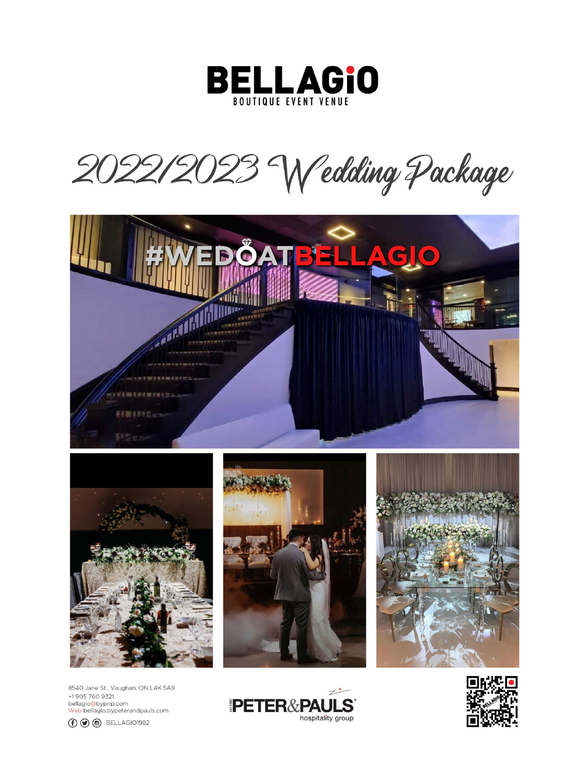

2022/2023 Wedding Package





8540 Jane St., Vaughan, ON L4K 5A9 +1905 760 9321 bellagio@bypnp.com<br><mark>Web</mark> bellagio.bypeterandpauls.com







 $\mathbb{Z}^{\bullet}$ PETER&PAULS hospitality group

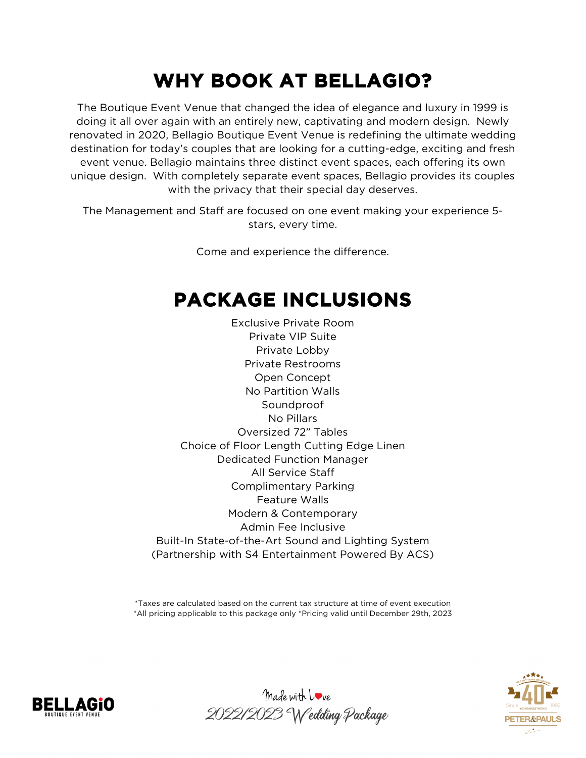## **WHY BOOK AT BELLAGIO?**

The Boutique Event Venue that changed the idea of elegance and luxury in 1999 is doing it all over again with an entirely new, captivating and modern design. Newly renovated in 2020, Bellagio Boutique Event Venue is redefining the ultimate wedding destination for today's couples that are looking for a cutting-edge, exciting and fresh event venue. Bellagio maintains three distinct event spaces, each offering its own unique design. With completely separate event spaces, Bellagio provides its couples with the privacy that their special day deserves.

The Management and Staff are focused on one event making your experience 5 stars, every time.

Come and experience the difference.

## **PACKAGE INCLUSIONS**

Exclusive Private Room Private VIP Suite Private Lobby Private Restrooms Open Concept No Partition Walls Soundproof No Pillars Oversized 72" Tables Choice of Floor Length Cutting Edge Linen Dedicated Function Manager All Service Staff Complimentary Parking Feature Walls Modern & Contemporary Admin Fee Inclusive Built-In State-of-the-Art Sound and Lighting System (Partnership with S4 Entertainment Powered By ACS)

\*Taxes are calculated based on the current tax structure at time of event execution \*All pricing applicable to this package only \*Pricing valid until December 29th, 2023





Made with Love 2022/2023 Wedding Package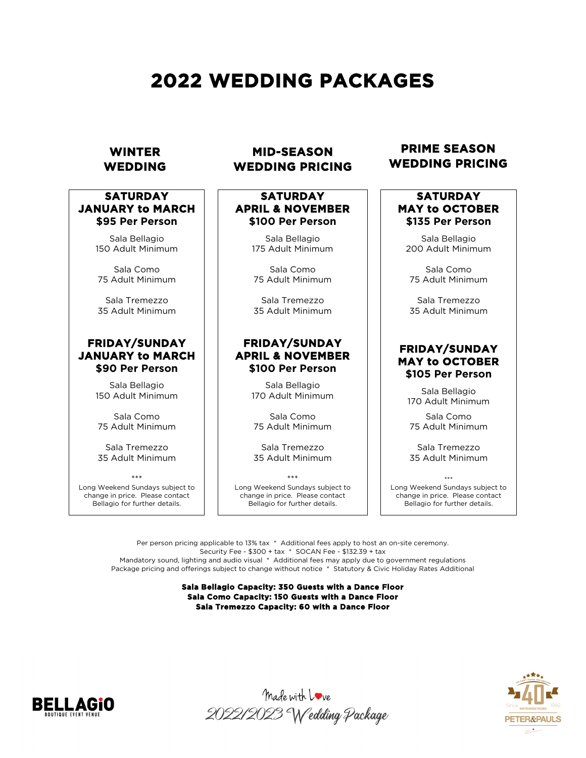## **2022 WEDDING PACKAGES**

#### **WINTER WEDDING**

#### **SATURDAY JANUARY to MARCH \$95 Per Person**

Sala Bellagio 150 Adult Minimum

Sala Como 75 Adult Minimum

Sala Tremezzo 35 Adult Minimum

#### **FRIDAY/SUNDAY JANUARY to MARCH \$90 Per Person**

Sala Bellagio 150 Adult Minimum

Sala Como 75 Adult Minimum

Sala Tremezzo 35 Adult Minimum

\*\*\* Long Weekend Sundays subject to change in price. Please contact Bellagio for further details.

#### **MID-SEASON WEDDING PRICING**

## **SATURDAY APRIL & NOVEMBER \$100 Per Person**

Sala Bellagio 175 Adult Minimum

Sala Como 75 Adult Minimum

Sala Tremezzo 35 Adult Minimum

#### **FRIDAY/SUNDAY APRIL & NOVEMBER \$100 Per Person**

Sala Bellagio 170 Adult Minimum

Sala Como 75 Adult Minimum

Sala Tremezzo 35 Adult Minimum

\*\*\* Long Weekend Sundays subject to change in price. Please contact Bellagio for further details.

#### **PRIME SEASON WEDDING PRICING**

## **SATURDAY MAY to OCTOBER \$135 Per Person**

Sala Bellagio 200 Adult Minimum

Sala Como 75 Adult Minimum

Sala Tremezzo 35 Adult Minimum

#### **FRIDAY/SUNDAY MAY to OCTOBER \$105 Per Person**

Sala Bellagio 170 Adult Minimum

Sala Como 75 Adult Minimum

Sala Tremezzo 35 Adult Minimum

\*\*\* Long Weekend Sundays subject to change in price. Please contact Bellagio for further details.

Per person pricing applicable to 13% tax \* Additional fees apply to host an on-site ceremony. Security Fee - \$300 + tax \* SOCAN Fee - \$132.39 + tax Mandatory sound, lighting and audio visual \* Additional fees may apply due to government regulations Package pricing and offerings subject to change without notice \* Statutory & Civic Holiday Rates Additional

#### **Sala Bellagio Capacity: 350 Guests with a Dance Floor Sala Como Capacity: 150 Guests with a Dance Floor Sala Tremezzo Capacity: 60 with a Dance Floor**





Made with Love 2022/2023 Wedding Package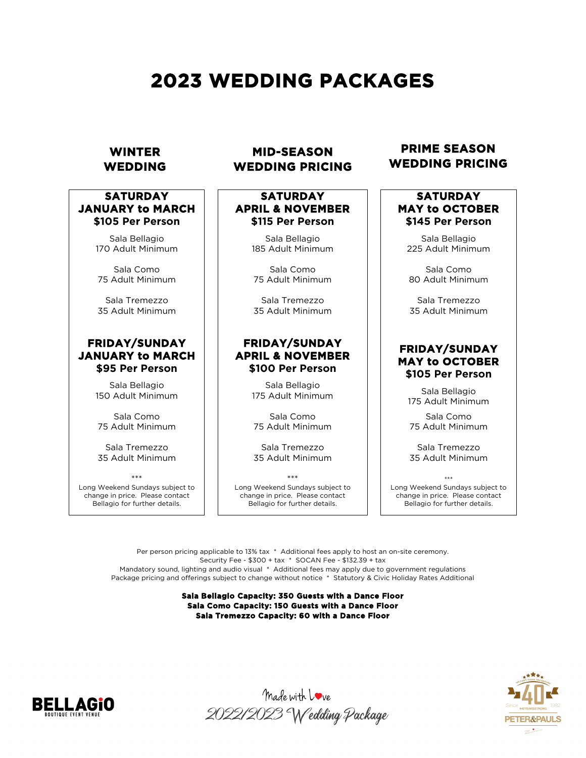## **2023 WEDDING PACKAGES**

#### **WINTER WEDDING**

#### **SATURDAY JANUARY to MARCH \$105 Per Person**

Sala Bellagio 170 Adult Minimum

Sala Como 75 Adult Minimum

Sala Tremezzo 35 Adult Minimum

#### **FRIDAY/SUNDAY JANUARY to MARCH \$95 Per Person**

Sala Bellagio 150 Adult Minimum

Sala Como 75 Adult Minimum

Sala Tremezzo 35 Adult Minimum

\*\*\* Long Weekend Sundays subject to change in price. Please contact Bellagio for further details.

#### **MID-SEASON WEDDING PRICING**

#### **SATURDAY APRIL & NOVEMBER \$115 Per Person**

Sala Bellagio 185 Adult Minimum

Sala Como 75 Adult Minimum

Sala Tremezzo 35 Adult Minimum

#### **FRIDAY/SUNDAY APRIL & NOVEMBER \$100 Per Person**

Sala Bellagio 175 Adult Minimum

Sala Como 75 Adult Minimum

Sala Tremezzo 35 Adult Minimum

\*\*\* Long Weekend Sundays subject to change in price. Please contact Bellagio for further details.

#### **PRIME SEASON WEDDING PRICING**

### **SATURDAY MAY to OCTOBER \$145 Per Person**

Sala Bellagio 225 Adult Minimum

Sala Como 80 Adult Minimum

Sala Tremezzo 35 Adult Minimum

#### **FRIDAY/SUNDAY MAY to OCTOBER \$105 Per Person**

Sala Bellagio 175 Adult Minimum

Sala Como 75 Adult Minimum

Sala Tremezzo 35 Adult Minimum

\*\*\* Long Weekend Sundays subject to change in price. Please contact Bellagio for further details.

Per person pricing applicable to 13% tax \* Additional fees apply to host an on-site ceremony. Security Fee - \$300 + tax \* SOCAN Fee - \$132.39 + tax Mandatory sound, lighting and audio visual \* Additional fees may apply due to government regulations Package pricing and offerings subject to change without notice \* Statutory & Civic Holiday Rates Additional

> **Sala Bellagio Capacity: 350 Guests with a Dance Floor Sala Como Capacity: 150 Guests with a Dance Floor Sala Tremezzo Capacity: 60 with a Dance Floor**





Made with Love 2022/2023 Wedding Package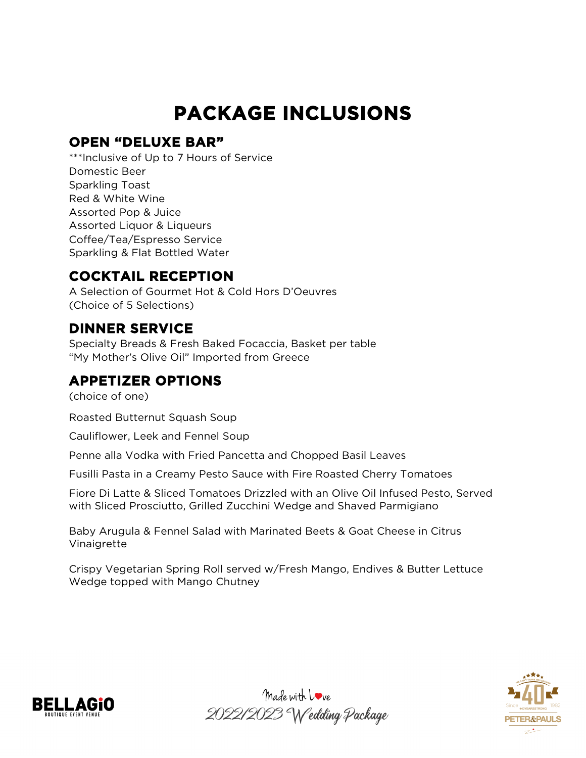## **PACKAGE INCLUSIONS**

#### **OPEN "DELUXE BAR"**

\*\*\*Inclusive of Up to 7 Hours of Service Domestic Beer Sparkling Toast Red & White Wine Assorted Pop & Juice Assorted Liquor & Liqueurs Coffee/Tea/Espresso Service Sparkling & Flat Bottled Water

### **COCKTAIL RECEPTION**

A Selection of Gourmet Hot & Cold Hors D'Oeuvres (Choice of 5 Selections)

### **DINNER SERVICE**

Specialty Breads & Fresh Baked Focaccia, Basket per table "My Mother's Olive Oil" Imported from Greece

## **APPETIZER OPTIONS**

(choice of one)

Roasted Butternut Squash Soup

Cauliflower, Leek and Fennel Soup

Penne alla Vodka with Fried Pancetta and Chopped Basil Leaves

Fusilli Pasta in a Creamy Pesto Sauce with Fire Roasted Cherry Tomatoes

Fiore Di Latte & Sliced Tomatoes Drizzled with an Olive Oil Infused Pesto, Served with Sliced Prosciutto, Grilled Zucchini Wedge and Shaved Parmigiano

Baby Arugula & Fennel Salad with Marinated Beets & Goat Cheese in Citrus Vinaigrette

Crispy Vegetarian Spring Roll served w/Fresh Mango, Endives & Butter Lettuce Wedge topped with Mango Chutney





Made with Love 2022/2023 Wedding Package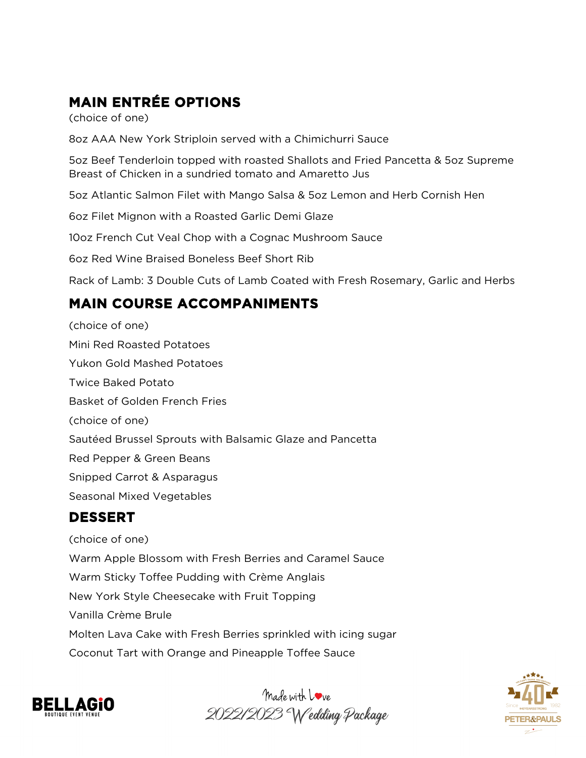## **MAIN ENTRÉE OPTIONS**

(choice of one)

8oz AAA New York Striploin served with a Chimichurri Sauce

5oz Beef Tenderloin topped with roasted Shallots and Fried Pancetta & 5oz Supreme Breast of Chicken in a sundried tomato and Amaretto Jus

5oz Atlantic Salmon Filet with Mango Salsa & 5oz Lemon and Herb Cornish Hen

6oz Filet Mignon with a Roasted Garlic Demi Glaze

10oz French Cut Veal Chop with a Cognac Mushroom Sauce

6oz Red Wine Braised Boneless Beef Short Rib

Rack of Lamb: 3 Double Cuts of Lamb Coated with Fresh Rosemary, Garlic and Herbs

## **MAIN COURSE ACCOMPANIMENTS**

(choice of one) Mini Red Roasted Potatoes Yukon Gold Mashed Potatoes Twice Baked Potato Basket of Golden French Fries (choice of one) Sautéed Brussel Sprouts with Balsamic Glaze and Pancetta Red Pepper & Green Beans Snipped Carrot & Asparagus Seasonal Mixed Vegetables **DESSERT**

(choice of one) Warm Apple Blossom with Fresh Berries and Caramel Sauce Warm Sticky Toffee Pudding with Crème Anglais New York Style Cheesecake with Fruit Topping Vanilla Crème Brule Molten Lava Cake with Fresh Berries sprinkled with icing sugar Coconut Tart with Orange and Pineapple Toffee Sauce





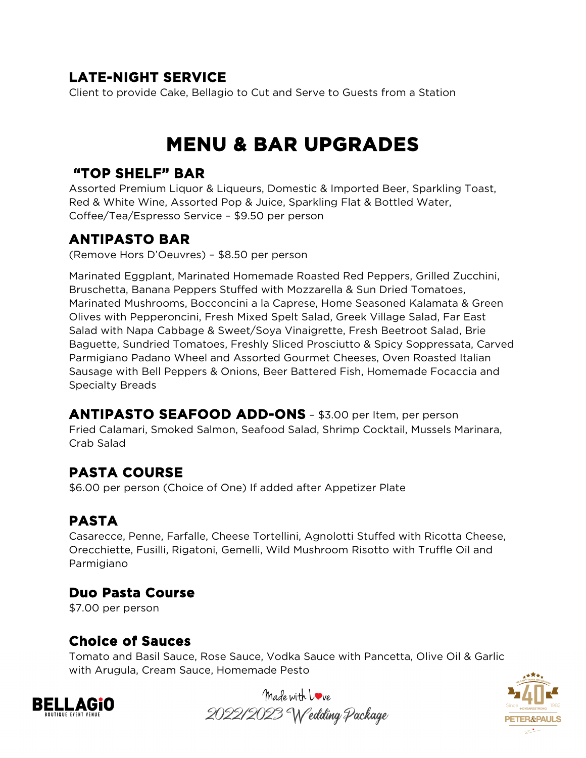## **LATE-NIGHT SERVICE**

Client to provide Cake, Bellagio to Cut and Serve to Guests from a Station

## **MENU & BAR UPGRADES**

#### **"TOP SHELF" BAR**

Assorted Premium Liquor & Liqueurs, Domestic & Imported Beer, Sparkling Toast, Red & White Wine, Assorted Pop & Juice, Sparkling Flat & Bottled Water, Coffee/Tea/Espresso Service – \$9.50 per person

#### **ANTIPASTO BAR**

(Remove Hors D'Oeuvres) – \$8.50 per person

Marinated Eggplant, Marinated Homemade Roasted Red Peppers, Grilled Zucchini, Bruschetta, Banana Peppers Stuffed with Mozzarella & Sun Dried Tomatoes, Marinated Mushrooms, Bocconcini a la Caprese, Home Seasoned Kalamata & Green Olives with Pepperoncini, Fresh Mixed Spelt Salad, Greek Village Salad, Far East Salad with Napa Cabbage & Sweet/Soya Vinaigrette, Fresh Beetroot Salad, Brie Baguette, Sundried Tomatoes, Freshly Sliced Prosciutto & Spicy Soppressata, Carved Parmigiano Padano Wheel and Assorted Gourmet Cheeses, Oven Roasted Italian Sausage with Bell Peppers & Onions, Beer Battered Fish, Homemade Focaccia and Specialty Breads

**ANTIPASTO SEAFOOD ADD-ONS** – \$3.00 per Item, per person Fried Calamari, Smoked Salmon, Seafood Salad, Shrimp Cocktail, Mussels Marinara, Crab Salad

## **PASTA COURSE**

\$6.00 per person (Choice of One) If added after Appetizer Plate

## **PASTA**

Casarecce, Penne, Farfalle, Cheese Tortellini, Agnolotti Stuffed with Ricotta Cheese, Orecchiette, Fusilli, Rigatoni, Gemelli, Wild Mushroom Risotto with Truffle Oil and Parmigiano

### **Duo Pasta Course**

\$7.00 per person

### **Choice of Sauces**

Tomato and Basil Sauce, Rose Sauce, Vodka Sauce with Pancetta, Olive Oil & Garlic with Arugula, Cream Sauce, Homemade Pesto





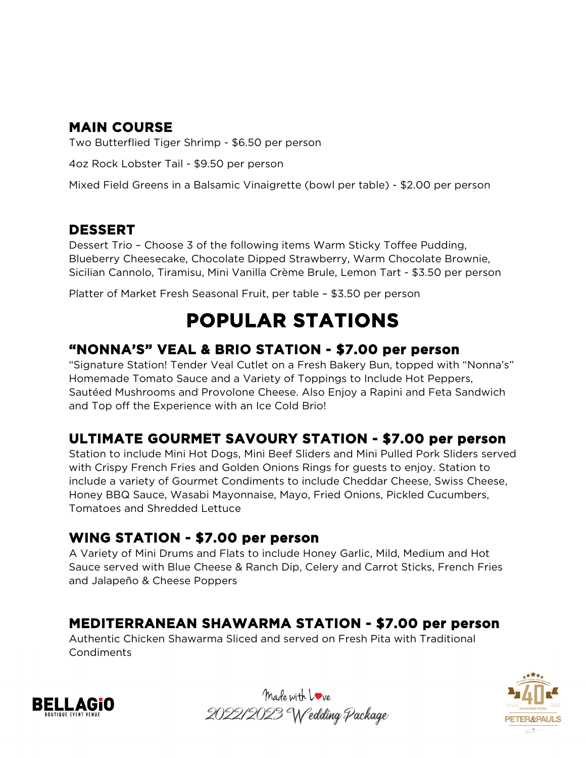## **MAIN COURSE**

Two Butterflied Tiger Shrimp - \$6.50 per person

4oz Rock Lobster Tail - \$9.50 per person

Mixed Field Greens in a Balsamic Vinaigrette (bowl per table) - \$2.00 per person

#### **DESSERT**

Dessert Trio – Choose 3 of the following items Warm Sticky Toffee Pudding, Blueberry Cheesecake, Chocolate Dipped Strawberry, Warm Chocolate Brownie, Sicilian Cannolo, Tiramisu, Mini Vanilla Crème Brule, Lemon Tart - \$3.50 per person

Platter of Market Fresh Seasonal Fruit, per table – \$3.50 per person

## **POPULAR STATIONS**

#### **"NONNA'S" VEAL & BRIO STATION - \$7.00 per person**

"Signature Station! Tender Veal Cutlet on a Fresh Bakery Bun, topped with "Nonna's" Homemade Tomato Sauce and a Variety of Toppings to Include Hot Peppers, Sautéed Mushrooms and Provolone Cheese. Also Enjoy a Rapini and Feta Sandwich and Top off the Experience with an Ice Cold Brio!

## **ULTIMATE GOURMET SAVOURY STATION - \$7.00 per person**

Station to include Mini Hot Dogs, Mini Beef Sliders and Mini Pulled Pork Sliders served with Crispy French Fries and Golden Onions Rings for guests to enjoy. Station to include a variety of Gourmet Condiments to include Cheddar Cheese, Swiss Cheese, Honey BBQ Sauce, Wasabi Mayonnaise, Mayo, Fried Onions, Pickled Cucumbers, Tomatoes and Shredded Lettuce

#### **WING STATION - \$7.00 per person**

A Variety of Mini Drums and Flats to include Honey Garlic, Mild, Medium and Hot Sauce served with Blue Cheese & Ranch Dip, Celery and Carrot Sticks, French Fries and Jalapeño & Cheese Poppers

### **MEDITERRANEAN SHAWARMA STATION - \$7.00 per person**

Authentic Chicken Shawarma Sliced and served on Fresh Pita with Traditional Condiments





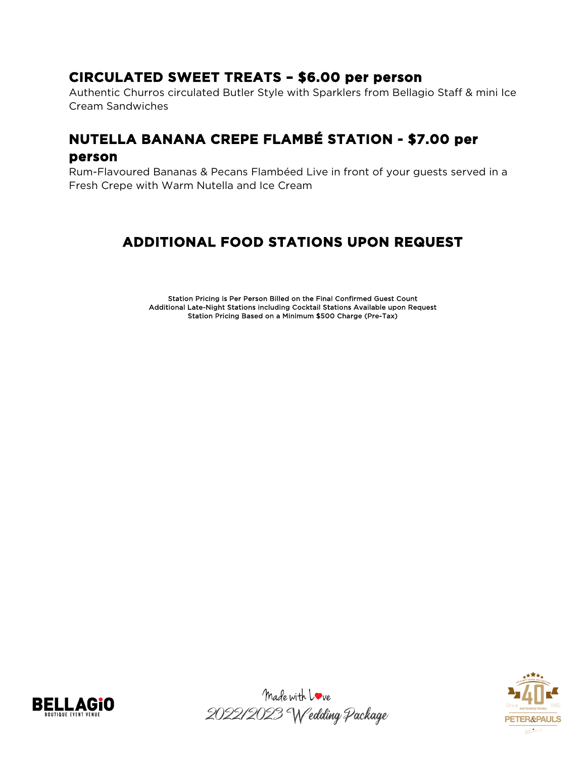#### **CIRCULATED SWEET TREATS – \$6.00 per person**

Authentic Churros circulated Butler Style with Sparklers from Bellagio Staff & mini Ice Cream Sandwiches

## **NUTELLA BANANA CREPE FLAMBÉ STATION - \$7.00 per person**

Rum-Flavoured Bananas & Pecans Flambéed Live in front of your guests served in a Fresh Crepe with Warm Nutella and Ice Cream

## **ADDITIONAL FOOD STATIONS UPON REQUEST**

Station Pricing is Per Person Billed on the Final Confirmed Guest Count Additional Late-Night Stations including Cocktail Stations Available upon Request Station Pricing Based on a Minimum \$500 Charge (Pre-Tax)